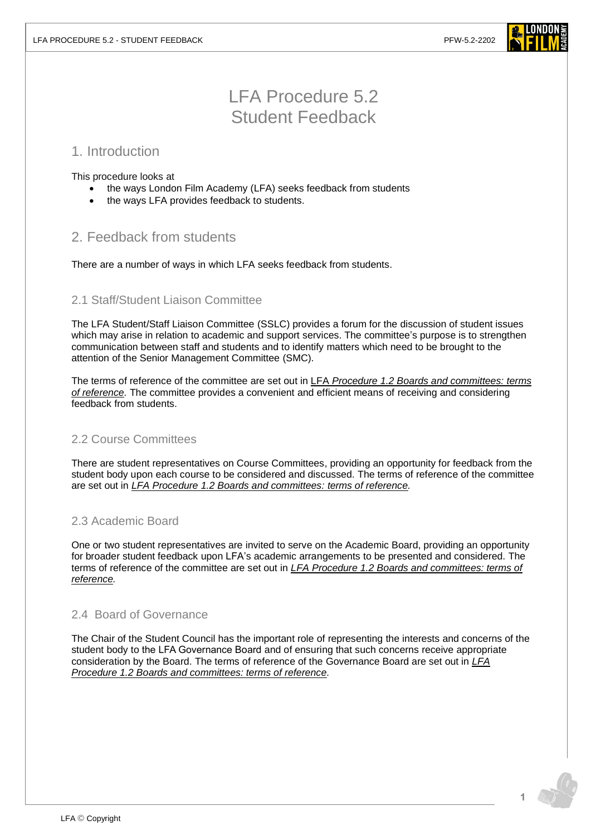

# LFA Procedure 5.2 Student Feedback

## 1. Introduction

This procedure looks at

- the ways London Film Academy (LFA) seeks feedback from students
- the ways LFA provides feedback to students.

## 2. Feedback from students

There are a number of ways in which LFA seeks feedback from students.

## 2.1 Staff/Student Liaison Committee

The LFA Student/Staff Liaison Committee (SSLC) provides a forum for the discussion of student issues which may arise in relation to academic and support services. The committee's purpose is to strengthen communication between staff and students and to identify matters which need to be brought to the attention of the Senior Management Committee (SMC).

The terms of reference of the committee are set out in LFA *Procedure 1.2 [Boards and committees: terms](https://www.londonfilmacademy.com/LFA_Procedure_1.2_-_Boards_and_Committees_terms_of_reference.pdf)  [of reference.](https://www.londonfilmacademy.com/LFA_Procedure_1.2_-_Boards_and_Committees_terms_of_reference.pdf)* The committee provides a convenient and efficient means of receiving and considering feedback from students.

## 2.2 Course Committees

There are student representatives on Course Committees, providing an opportunity for feedback from the student body upon each course to be considered and discussed. The terms of reference of the committee are set out in *LFA Procedure 1.2 [Boards and committees: terms of reference.](https://www.londonfilmacademy.com/LFA_Procedure_1.2_-_Boards_and_Committees_terms_of_reference.pdf)*

## 2.3 Academic Board

One or two student representatives are invited to serve on the Academic Board, providing an opportunity for broader student feedback upon LFA's academic arrangements to be presented and considered. The terms of reference of the committee are set out in *LFA Procedure 1.2 [Boards and committees: terms of](https://www.londonfilmacademy.com/LFA_Procedure_1.2_-_Boards_and_Committees_terms_of_reference.pdf)  [reference.](https://www.londonfilmacademy.com/LFA_Procedure_1.2_-_Boards_and_Committees_terms_of_reference.pdf)*

#### 2.4 Board of Governance

The Chair of the Student Council has the important role of representing the interests and concerns of the student body to the LFA Governance Board and of ensuring that such concerns receive appropriate consideration by the Board. The terms of reference of the Governance Board are set out in *[LFA](https://www.londonfilmacademy.com/LFA_Procedure_1.2_-_Boards_and_Committees_terms_of_reference.pdf)  Procedure 1.2 [Boards and committees: terms of reference.](https://www.londonfilmacademy.com/LFA_Procedure_1.2_-_Boards_and_Committees_terms_of_reference.pdf)*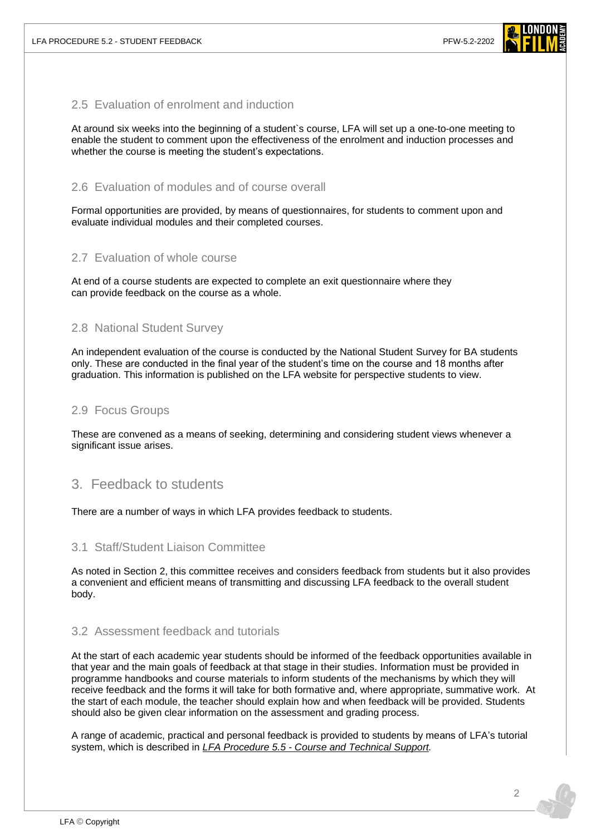

### 2.5 Evaluation of enrolment and induction

At around six weeks into the beginning of a student`s course, LFA will set up a one-to-one meeting to enable the student to comment upon the effectiveness of the enrolment and induction processes and whether the course is meeting the student's expectations.

#### 2.6 Evaluation of modules and of course overall

Formal opportunities are provided, by means of questionnaires, for students to comment upon and evaluate individual modules and their completed courses.

#### 2.7 Evaluation of whole course

At end of a course students are expected to complete an exit questionnaire where they can provide feedback on the course as a whole.

#### 2.8 National Student Survey

An independent evaluation of the course is conducted by the National Student Survey for BA students only. These are conducted in the final year of the student's time on the course and 18 months after graduation. This information is published on the LFA website for perspective students to view.

#### 2.9 Focus Groups

These are convened as a means of seeking, determining and considering student views whenever a significant issue arises.

## 3. Feedback to students

There are a number of ways in which LFA provides feedback to students.

#### 3.1 Staff/Student Liaison Committee

As noted in Section 2, this committee receives and considers feedback from students but it also provides a convenient and efficient means of transmitting and discussing LFA feedback to the overall student body.

#### 3.2 Assessment feedback and tutorials

At the start of each academic year students should be informed of the feedback opportunities available in that year and the main goals of feedback at that stage in their studies. Information must be provided in programme handbooks and course materials to inform students of the mechanisms by which they will receive feedback and the forms it will take for both formative and, where appropriate, summative work. At the start of each module, the teacher should explain how and when feedback will be provided. Students should also be given clear information on the assessment and grading process.

A range of academic, practical and personal feedback is provided to students by means of LFA's tutorial system, which is described in *LFA Procedure 5.5 - [Course and Technical Support.](https://www.londonfilmacademy.com/LFA_Procedure_5.5_Course_and-technical_support.pdf)*